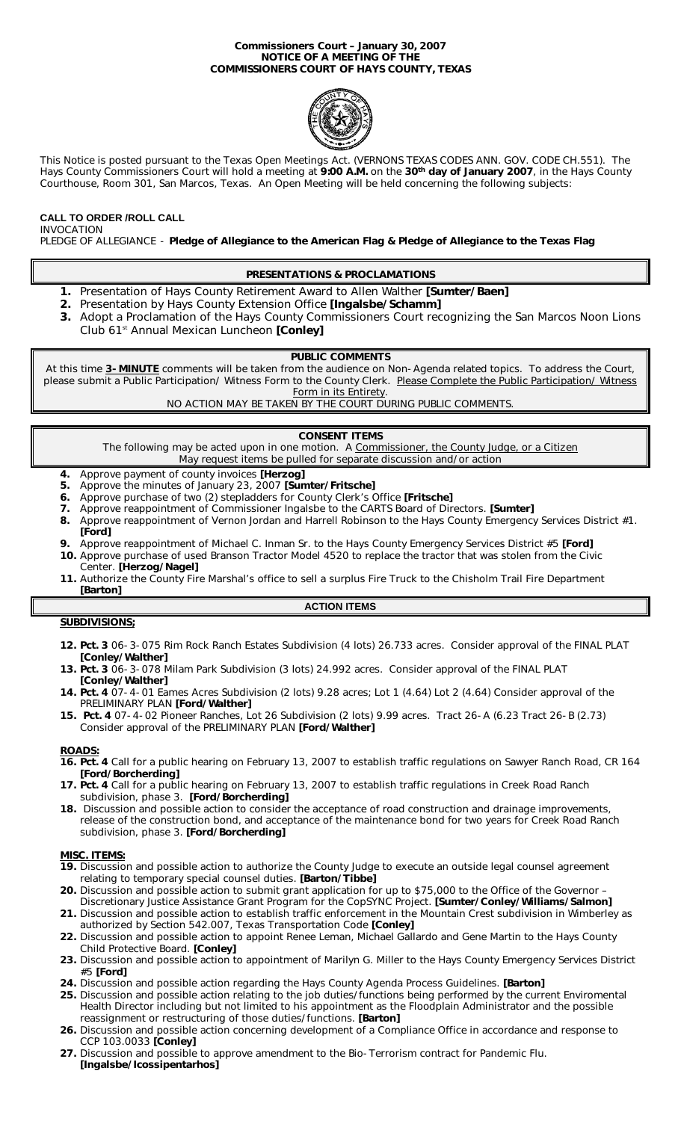#### **Commissioners Court – January 30, 2007 NOTICE OF A MEETING OF THE COMMISSIONERS COURT OF HAYS COUNTY, TEXAS**



This Notice is posted pursuant to the Texas Open Meetings Act. (VERNONS TEXAS CODES ANN. GOV. CODE CH.551). The Hays County Commissioners Court will hold a meeting at **9:00 A.M.** on the **30th day of January 2007**, in the Hays County Courthouse, Room 301, San Marcos, Texas. An Open Meeting will be held concerning the following subjects:

## **CALL TO ORDER /ROLL CALL**

INVOCATION

PLEDGE OF ALLEGIANCE - **Pledge of Allegiance to the American Flag & Pledge of Allegiance to the Texas Flag** 

# **PRESENTATIONS & PROCLAMATIONS**

- **1.** Presentation of Hays County Retirement Award to Allen Walther **[Sumter/Baen]**
- **2.** Presentation by Hays County Extension Office **[Ingalsbe/Schamm]**
- **3.** Adopt a Proclamation of the Hays County Commissioners Court recognizing the San Marcos Noon Lions Club 61st Annual Mexican Luncheon **[Conley]**

## **PUBLIC COMMENTS**

At this time **3-MINUTE** comments will be taken from the audience on Non-Agenda related topics. To address the Court, please submit a Public Participation/ Witness Form to the County Clerk. Please Complete the Public Participation/ Witness Form in its Entirety.

NO ACTION MAY BE TAKEN BY THE COURT DURING PUBLIC COMMENTS.

# **CONSENT ITEMS**

The following may be acted upon in one motion. A Commissioner, the County Judge, or a Citizen May request items be pulled for separate discussion and/or action

- **4.** Approve payment of county invoices **[Herzog]**
- **5.** Approve the minutes of January 23, 2007 **[Sumter/Fritsche]**
- **6.** Approve purchase of two (2) stepladders for County Clerk's Office **[Fritsche]**
- **7.** Approve reappointment of Commissioner Ingalsbe to the CARTS Board of Directors. **[Sumter]**
- **8.** Approve reappointment of Vernon Jordan and Harrell Robinson to the Hays County Emergency Services District #1. **[Ford]**
- **9.** Approve reappointment of Michael C. Inman Sr. to the Hays County Emergency Services District #5 **[Ford] 10.** Approve purchase of used Branson Tractor Model 4520 to replace the tractor that was stolen from the Civic Center. **[Herzog/Nagel]**
- **11.** Authorize the County Fire Marshal's office to sell a surplus Fire Truck to the Chisholm Trail Fire Department **[Barton]**

## **ACTION ITEMS**

# **SUBDIVISIONS;**

- **12. Pct. 3** 06-3-075 Rim Rock Ranch Estates Subdivision (4 lots) 26.733 acres. Consider approval of the FINAL PLAT **[Conley/Walther]**
- **13. Pct. 3** 06-3-078 Milam Park Subdivision (3 lots) 24.992 acres. Consider approval of the FINAL PLAT **[Conley/Walther]**
- **14. Pct. 4** 07-4-01 Eames Acres Subdivision (2 lots) 9.28 acres; Lot 1 (4.64) Lot 2 (4.64) Consider approval of the PRELIMINARY PLAN **[Ford/Walther]**
- **15. Pct. 4** 07-4-02 Pioneer Ranches, Lot 26 Subdivision (2 lots) 9.99 acres. Tract 26-A (6.23 Tract 26-B (2.73) Consider approval of the PRELIMINARY PLAN **[Ford/Walther]**

## **ROADS:**

- **16. Pct. 4** Call for a public hearing on February 13, 2007 to establish traffic regulations on Sawyer Ranch Road, CR 164 **[Ford/Borcherding]**
- **17. Pct. 4** Call for a public hearing on February 13, 2007 to establish traffic regulations in Creek Road Ranch subdivision, phase 3. **[Ford/Borcherding]**
- **18.** Discussion and possible action to consider the acceptance of road construction and drainage improvements, release of the construction bond, and acceptance of the maintenance bond for two years for Creek Road Ranch subdivision, phase 3. **[Ford/Borcherding]**

#### **MISC. ITEMS:**

- **19.** Discussion and possible action to authorize the County Judge to execute an outside legal counsel agreement relating to temporary special counsel duties. **[Barton/Tibbe]**
- **20.** Discussion and possible action to submit grant application for up to \$75,000 to the Office of the Governor Discretionary Justice Assistance Grant Program for the CopSYNC Project. **[Sumter/Conley/Williams/Salmon]**
- **21.** Discussion and possible action to establish traffic enforcement in the Mountain Crest subdivision in Wimberley as authorized by Section 542.007, Texas Transportation Code **[Conley]**
- **22.** Discussion and possible action to appoint Renee Leman, Michael Gallardo and Gene Martin to the Hays County Child Protective Board. **[Conley]**
- **23.** Discussion and possible action to appointment of Marilyn G. Miller to the Hays County Emergency Services District #5 **[Ford]**
- **24.** Discussion and possible action regarding the Hays County Agenda Process Guidelines. **[Barton]**
- **25.** Discussion and possible action relating to the job duties/functions being performed by the current Enviromental Health Director including but not limited to his appointment as the Floodplain Administrator and the possible reassignment or restructuring of those duties/functions. **[Barton]**
- **26.** Discussion and possible action concerning development of a Compliance Office in accordance and response to CCP 103.0033 **[Conley]**
- **27.** Discussion and possible to approve amendment to the Bio-Terrorism contract for Pandemic Flu. **[Ingalsbe/Icossipentarhos]**